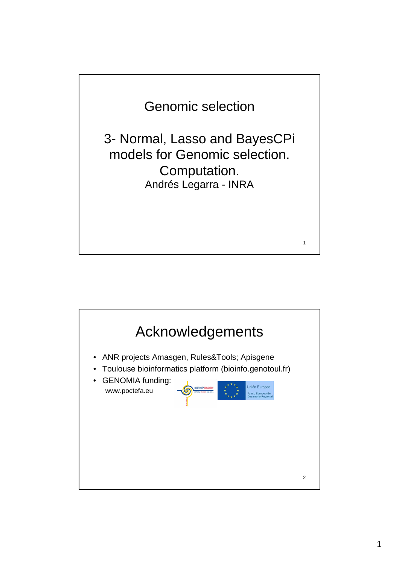

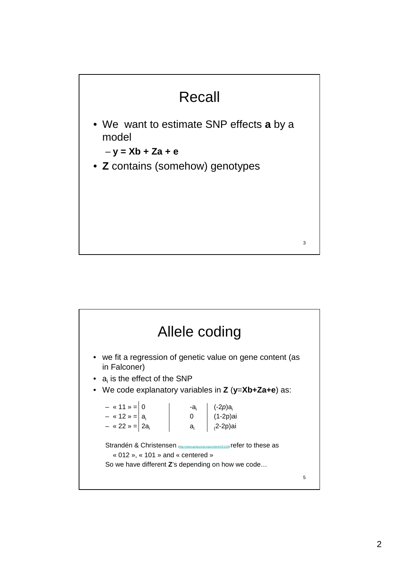

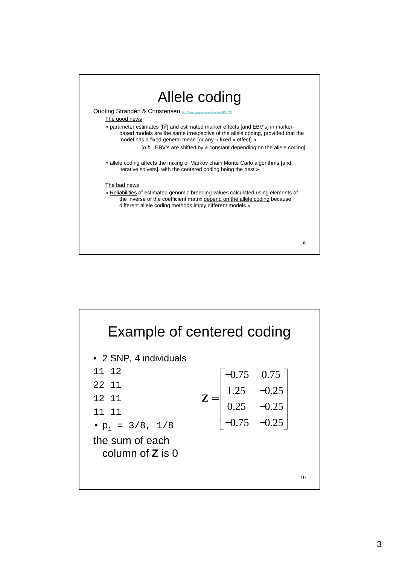

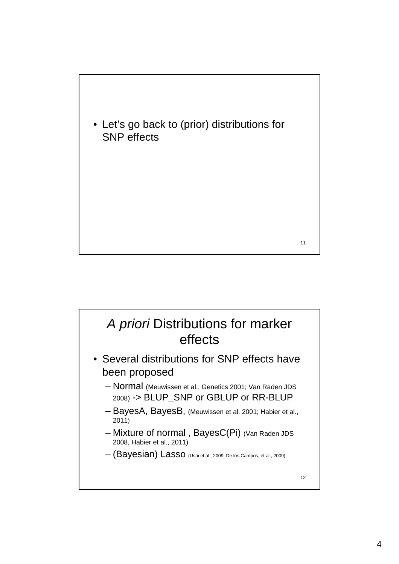

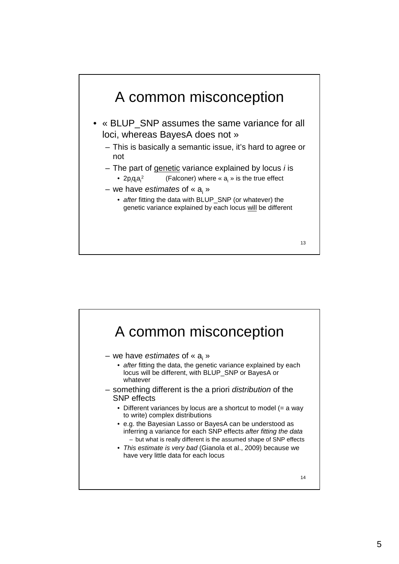

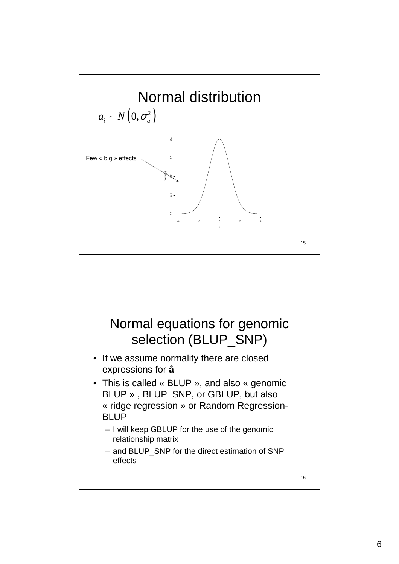

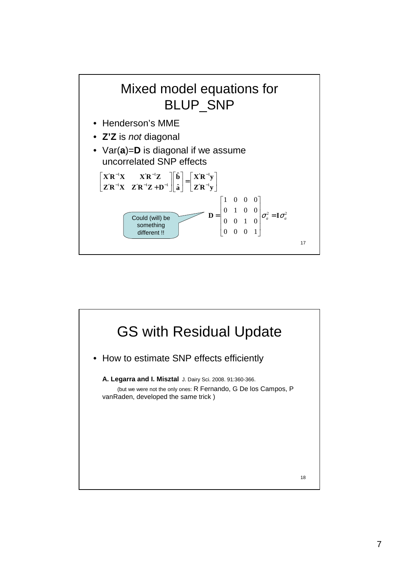

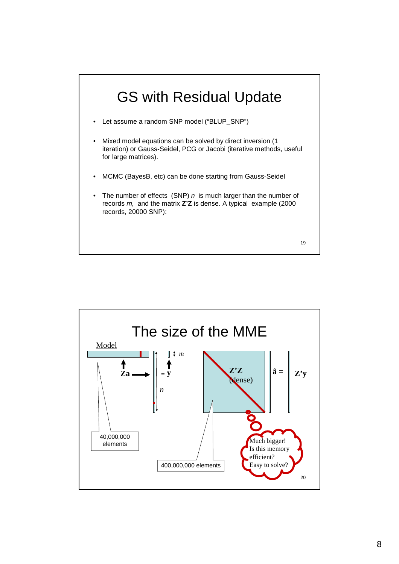

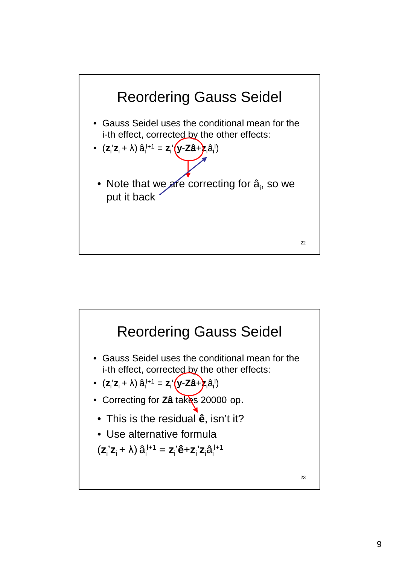

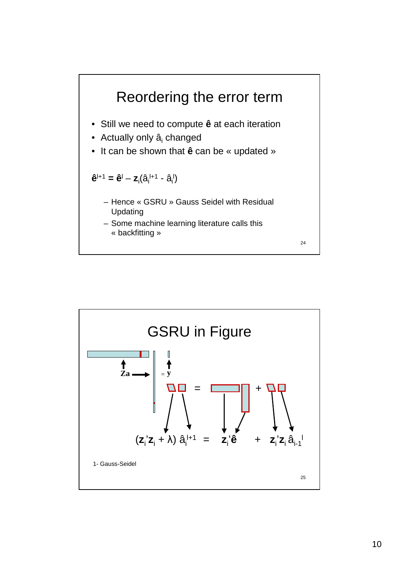

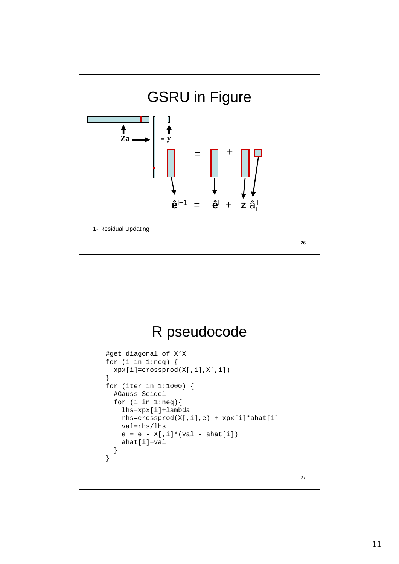

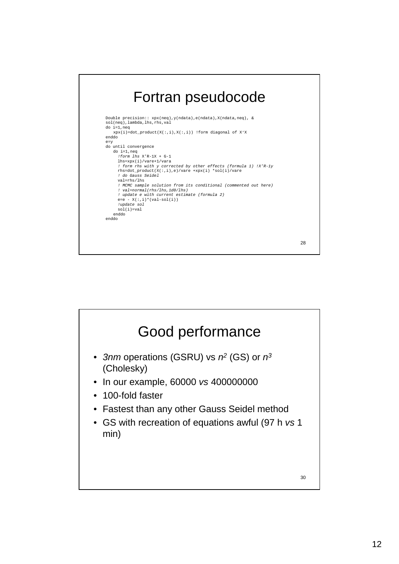## Fortran pseudocode

```
Double precision:: xpx(neq),y(ndata),e(ndata),X(ndata,neq), &
sol(neq),lambda,lhs,rhs,val
do i=1,neq
    xpx(i)=dot\_product(X(:,i),X(:,i)) !form diagonal of X'X
enddo
e=y
do until convergence
     do i=1,neq
!form lhs X'R-1X + G-1
       lhs=xpx(i)/vare+1/vara 
       ! form rhs with y corrected by other effects (formula 1) !X'R-1y
rhs=dot_product(X(:,i),e)/vare +xpx(i) *sol(i)/vare
       ! do Gauss Seidel
      val=rhs/lhs
       ! MCMC sample solution from its conditional (commented out here)
! val=normal(rhs/lhs,1d0/lhs)
       ! update e with current estimate (formula 2)
e=e - X(:,i)*(val-sol(i))
       !update sol
sol(i)=val
    enddo
enddo
```
28

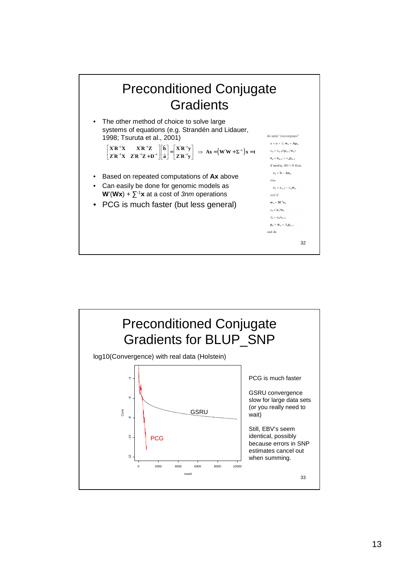

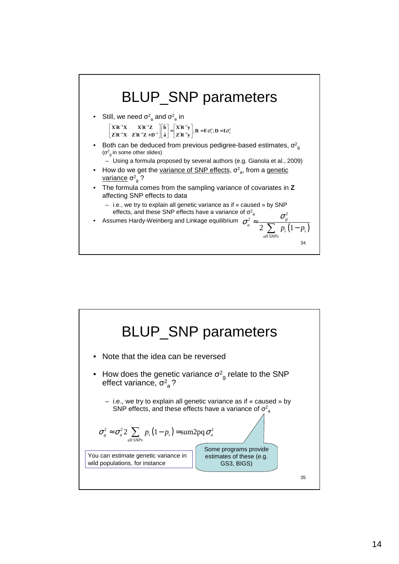

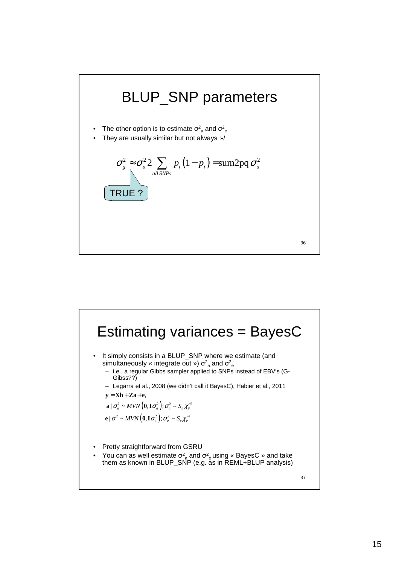

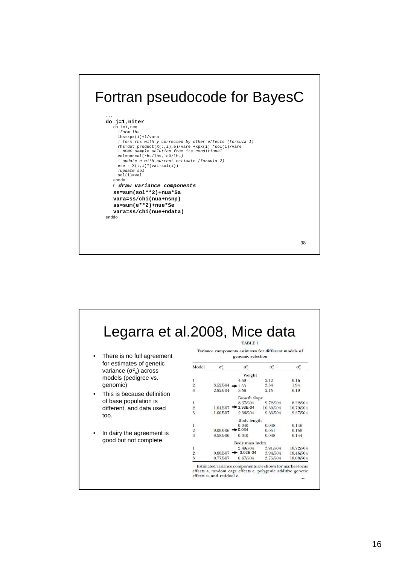## Fortran pseudocode for BayesC



38

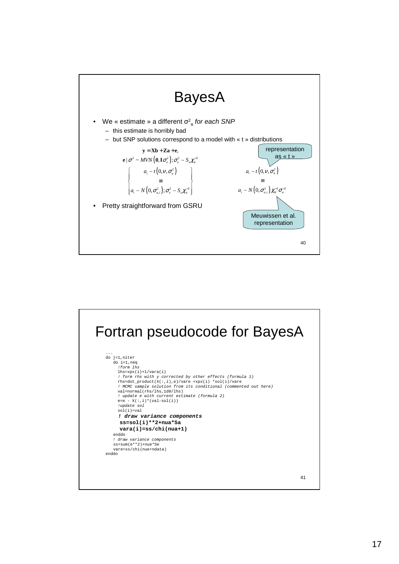

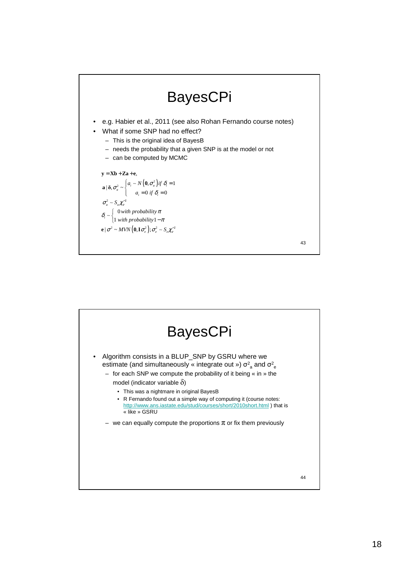

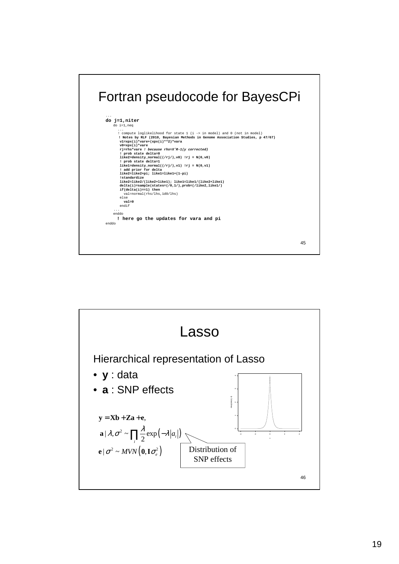

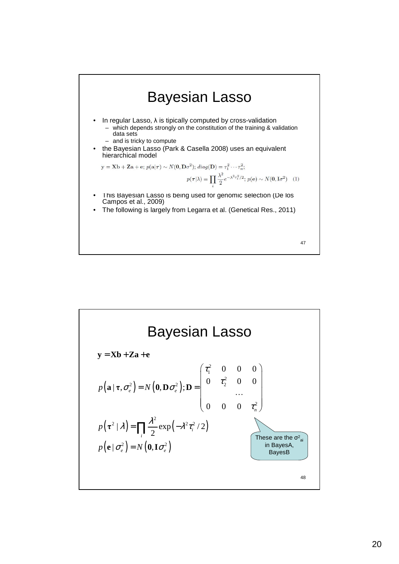

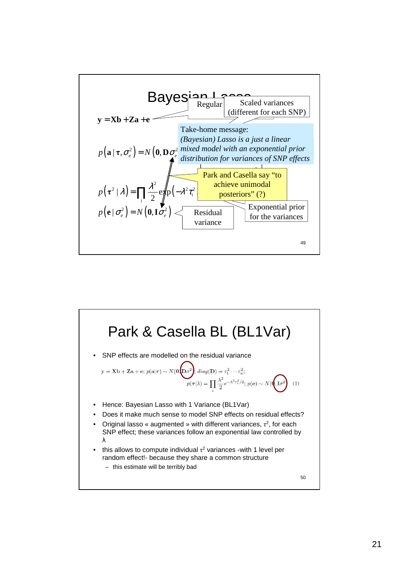

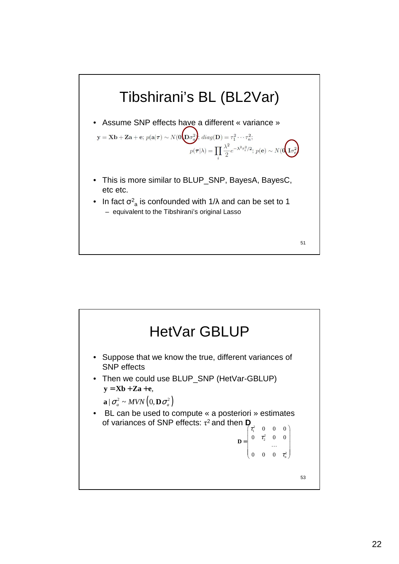

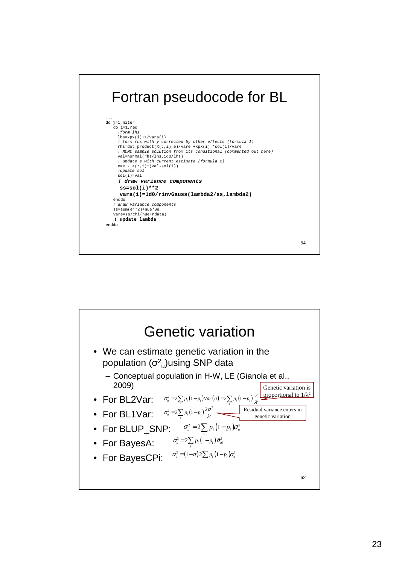

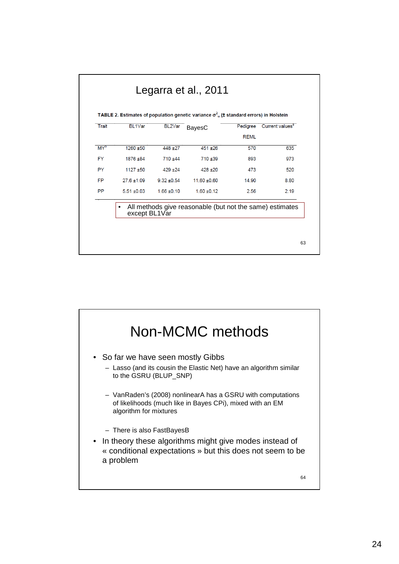| <b>REML</b><br>$1260 + 50$<br>$448 + 27$<br>451 ±26<br>570<br>1876 ±84<br>710 ±44<br>710 ±39<br>893<br>$1127 + 50$<br>$429 + 24$<br>$428 + 20$<br>473<br>$27.6 \pm 1.09$<br>11.60 ±0.60<br>$9.32 + 0.54$<br>14.90 | <b>Trait</b> | BL1Var | BL2Var | <b>BayesC</b> | Pedigree | Current values <sup>a</sup> |
|-------------------------------------------------------------------------------------------------------------------------------------------------------------------------------------------------------------------|--------------|--------|--------|---------------|----------|-----------------------------|
|                                                                                                                                                                                                                   |              |        |        |               |          |                             |
|                                                                                                                                                                                                                   | $MY^b$       |        |        |               |          | 635                         |
|                                                                                                                                                                                                                   | <b>FY</b>    |        |        |               |          | 973                         |
|                                                                                                                                                                                                                   | <b>PY</b>    |        |        |               |          | 520                         |
|                                                                                                                                                                                                                   | <b>FP</b>    |        |        |               |          | 8.80                        |
| $5.51 + 0.03$<br>$1.66 \pm 0.10$<br>$1.60 \pm 0.12$<br>2.56                                                                                                                                                       | <b>PP</b>    |        |        |               |          | 2.19                        |

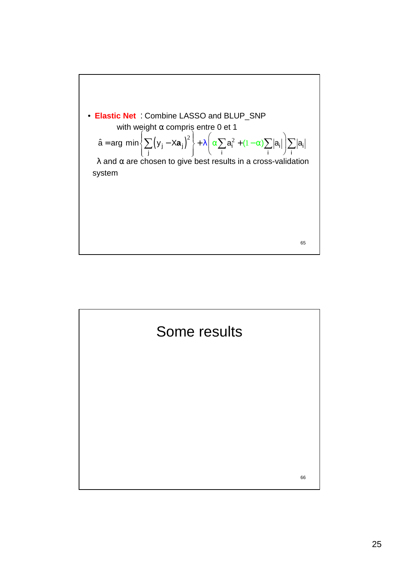

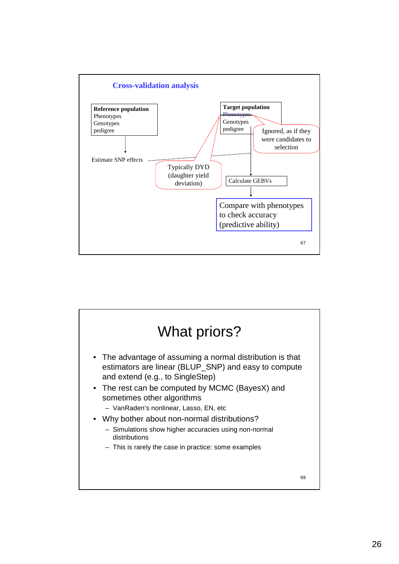

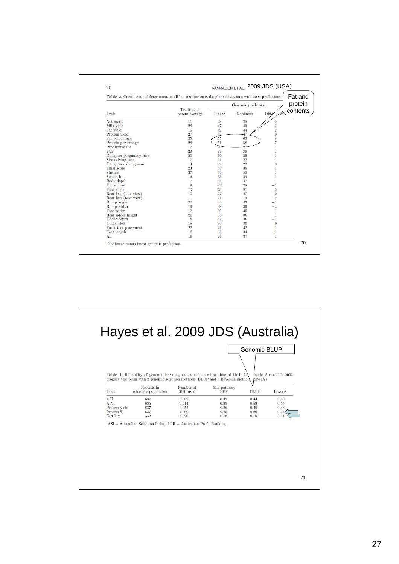| Table 2. Coefficients of determination ( $\mathbb{R}^2 \times 100$ ) for 2008 daughter deviations with 2003 predictions |                               |                    |           |                                              | Fat and  |
|-------------------------------------------------------------------------------------------------------------------------|-------------------------------|--------------------|-----------|----------------------------------------------|----------|
|                                                                                                                         |                               | Genomic prediction |           |                                              | protein  |
| Trait                                                                                                                   | Traditional<br>parent average | Linear             | Nonlinear | Diffe                                        | contents |
| Net merit                                                                                                               | 11                            | 28                 | 28        | $\theta$                                     |          |
| Milk yield                                                                                                              | 28                            | 47                 | 49        | $\overline{2}$                               |          |
| Fat yield                                                                                                               | 15                            | 42                 | 44        | $\overline{\mathbf{2}}$                      |          |
| Protein vield                                                                                                           | 27                            | 47                 | 47        |                                              |          |
| Fat percentage                                                                                                          | 25                            | 55                 | 63        | $\begin{array}{c}\n0 \\ 8 \\ 7\n\end{array}$ |          |
| Protein percentage                                                                                                      | 28                            | 51                 | 58        |                                              |          |
| Productive life                                                                                                         | 17                            | $\overline{26}$    | 27        |                                              |          |
| <b>SCS</b>                                                                                                              | 23                            | 37                 | 38        |                                              |          |
| Daughter pregnancy rate                                                                                                 | 20                            | 30                 | 29        |                                              |          |
| Sire calving ease                                                                                                       | 17                            | 21                 | 22        | $\mathbf{1}$                                 |          |
| Daughter calving ease                                                                                                   | 14                            | 22                 | 22        | $\overline{0}$                               |          |
| Final score                                                                                                             | 23                            | 35                 | 36        |                                              |          |
| Stature                                                                                                                 | 27                            | 49                 | 50        |                                              |          |
| Strength                                                                                                                | 16                            | 33                 | 34        |                                              |          |
| Body depth                                                                                                              | 17                            | 36                 | 37        |                                              |          |
| Dairy form                                                                                                              | 9                             | 29                 | 28        | $-1$                                         |          |
| Foot angle                                                                                                              | 13                            | 23                 | 21        | $-2$                                         |          |
| Rear legs (side view)                                                                                                   | 10                            | 27                 | 27        | $\Omega$                                     |          |
| Rear legs (rear view)                                                                                                   | 11                            | 21                 | 19        | $-2$                                         |          |
| Rump angle                                                                                                              | 20                            | 44                 | 43        | $-1$                                         |          |
| Rump width                                                                                                              | 19                            | 38                 | 36        | $-2$                                         |          |
| Fore udder                                                                                                              | 17                            | 39                 | 40        | 1                                            |          |
| Rear udder height                                                                                                       | 20                            | 35                 | 36        | $\mathbf{1}$                                 |          |
| Udder depth                                                                                                             | 18                            | 47                 | 46        | $-1$                                         |          |
| Udder cleft                                                                                                             | 18                            | 30                 | 30        | $\overline{0}$                               |          |
| Front teat placement                                                                                                    | 22                            | 41                 | 42        | 1                                            |          |
| Teat length                                                                                                             | 12                            | 35                 | 34        | $-1$                                         |          |
| All                                                                                                                     | 19                            | 36                 | 37        | 1                                            |          |

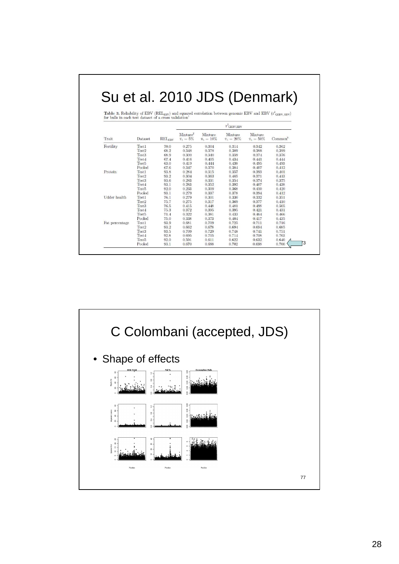| for bulls in each test dataset of a cross validation <sup>1</sup> |                             |               |                                                                                                                                              |                           |                                  |                           |                     |  |  |
|-------------------------------------------------------------------|-----------------------------|---------------|----------------------------------------------------------------------------------------------------------------------------------------------|---------------------------|----------------------------------|---------------------------|---------------------|--|--|
|                                                                   |                             |               | Table 3. Reliability of EBV (REL <sub>ERV</sub> ) and squared correlation between genomic EBV and EBV ( $r_{\text{CFRV}}^2$ <sub>ERV</sub> ) |                           |                                  |                           |                     |  |  |
|                                                                   |                             |               |                                                                                                                                              |                           | $r^2_{\rm GEBV, EBV}$            |                           |                     |  |  |
| Trait                                                             | Dataset                     | <b>RELERV</b> | Mixture <sup>2</sup><br>$\pi_1 = 5\%$                                                                                                        | Mixture<br>$\pi_1 = 10\%$ | <b>Mixture</b><br>$\pi_1 = 20\%$ | Mixture<br>$\pi_1 = 50\%$ | Common <sup>3</sup> |  |  |
| Fertility                                                         | Test1                       | 70.0          | 0.275                                                                                                                                        | 0.304                     | 0.314                            | 0.342                     | 0.362               |  |  |
|                                                                   | Test2                       | 68.2          | 0.348                                                                                                                                        | 0.378                     | 0.389                            | 0.388                     | 0.399               |  |  |
|                                                                   | Test <sub>3</sub>           | 68.9          | 0.300                                                                                                                                        | 0.340                     | 0.359                            | 0.374                     | 0.376               |  |  |
|                                                                   | Test 4                      | 67.4          | 0.416                                                                                                                                        | 0.405                     | 0.434                            | 0.441                     | 0.444               |  |  |
|                                                                   | Test <sub>5</sub>           | 63.0          | 0.419                                                                                                                                        | 0.444                     | 0.438                            | 0.495                     | 0.493               |  |  |
|                                                                   | Pooled                      | 67.6          | 0.347                                                                                                                                        | 0.370                     | 0.384                            | 0.407                     | 0.412               |  |  |
| Protein                                                           | Test <sub>1</sub>           | 93.8          | 0.284                                                                                                                                        | 0.315                     | 0.357                            | 0.393                     | 0.401               |  |  |
|                                                                   | Test <sub>2</sub>           | 93.2          | 0.304                                                                                                                                        | 0.363                     | 0.405                            | 0.371                     | 0.413               |  |  |
|                                                                   | Test <sub>3</sub>           | 93.6          | 0.283                                                                                                                                        | 0.331                     | 0.354                            | 0.374                     | 0.375               |  |  |
|                                                                   | Test <sub>4</sub>           | 93.1          | 0.283                                                                                                                                        | 0.352                     | 0.392                            | 0.407                     | 0.438               |  |  |
|                                                                   | Test <sub>5</sub>           | 92.0          | 0.233                                                                                                                                        | 0.309                     | 0.368                            | 0.410                     | 0.420               |  |  |
|                                                                   | Pooled                      | 93.1          | 0.279                                                                                                                                        | 0.337                     | 0.378                            | 0.394                     | 0.412               |  |  |
| Udder health                                                      | Test1                       | 76.1          | 0.279                                                                                                                                        | 0.301                     | 0.330                            | 0.332                     | 0.351               |  |  |
|                                                                   | Test <sub>2</sub>           | 75.7          | 0.275                                                                                                                                        | 0.317                     | 0.369                            | 0.377                     | 0.410               |  |  |
|                                                                   | Test <sub>3</sub>           | 76.5          | 0.415                                                                                                                                        | 0.448                     | 0.481                            | 0.498                     | 0.505               |  |  |
|                                                                   | Test <sub>4</sub>           | 75.3          | 0.372                                                                                                                                        | 0.395                     | 0.395                            | 0.421                     | 0.431               |  |  |
|                                                                   | Test5                       | 71.4          | 0.322                                                                                                                                        | 0.381                     | 0.433                            | 0.464                     | 0.466               |  |  |
|                                                                   | Pooled                      | 75.0          | 0.338                                                                                                                                        | 0.373                     | 0.404                            | 0.417                     | 0.435               |  |  |
| Fat percentage                                                    | Test1                       | 93.9          | 0.681                                                                                                                                        | 0.709                     | 0.725                            | 0.711                     | 0.716               |  |  |
|                                                                   | Test2                       | 93.2          | 0.662                                                                                                                                        | 0.678                     | 0.694                            | 0.694                     | 0.685               |  |  |
|                                                                   | Test <sub>3</sub>           | 93.5          | 0.709                                                                                                                                        | 0.729                     | 0.748                            | 0.741                     | 0.751               |  |  |
|                                                                   | Test4                       | 92.8          | 0.695                                                                                                                                        | 0.705                     | 0.714                            | 0.708                     | 0.703               |  |  |
|                                                                   | Test <sub>5</sub><br>Pooled | 92.0<br>93.1  | 0.591<br>0.670                                                                                                                               | 0.611<br>0.688            | 0.622<br>0.702                   | 0.632<br>0.698            | 0.640<br>0.700      |  |  |

Г